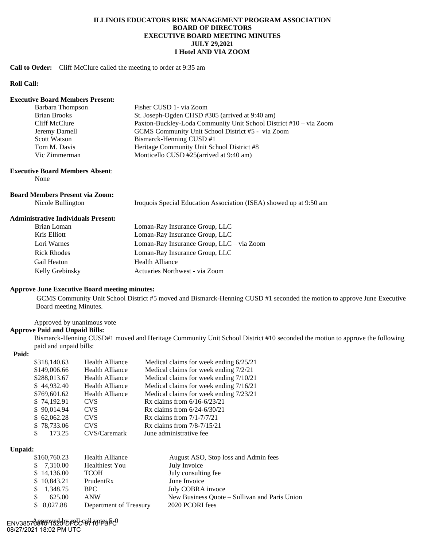# **ILLINOIS EDUCATORS RISK MANAGEMENT PROGRAM ASSOCIATION BOARD OF DIRECTORS EXECUTIVE BOARD MEETING MINUTES JULY 29,2021 I Hotel AND VIA ZOOM**

**Call to Order:** Cliff McClure called the meeting to order at 9:35 am

# **Roll Call:**

### **Executive Board Members Present:**

| Barbara Thompson    | Fisher CUSD 1- via Zoom                                           |
|---------------------|-------------------------------------------------------------------|
| Brian Brooks        | St. Joseph-Ogden CHSD #305 (arrived at 9:40 am)                   |
| Cliff McClure       | Paxton-Buckley-Loda Community Unit School District #10 – via Zoom |
| Jeremy Darnell      | GCMS Community Unit School District #5 - via Zoom                 |
| <b>Scott Watson</b> | Bismarck-Henning CUSD #1                                          |
| Tom M. Davis        | Heritage Community Unit School District #8                        |
| Vic Zimmerman       | Monticello CUSD #25(arrived at 9:40 am)                           |

# **Executive Board Members Absent**:

None

| <b>Board Members Present via Zoom:</b> |                                                                    |
|----------------------------------------|--------------------------------------------------------------------|
| Nicole Bullington                      | Iroquois Special Education Association (ISEA) showed up at 9:50 am |

### **Administrative Individuals Present:**

| Brian Loman        | Loman-Ray Insurance Group, LLC            |
|--------------------|-------------------------------------------|
| Kris Elliott       | Loman-Ray Insurance Group, LLC            |
| Lori Warnes        | Loman-Ray Insurance Group, LLC – via Zoom |
| <b>Rick Rhodes</b> | Loman-Ray Insurance Group, LLC            |
| Gail Heaton        | <b>Health Alliance</b>                    |
| Kelly Grebinsky    | Actuaries Northwest - via Zoom            |

# **Approve June Executive Board meeting minutes:**

GCMS Community Unit School District #5 moved and Bismarck-Henning CUSD #1 seconded the motion to approve June Executive Board meeting Minutes.

Approved by unanimous vote

# **Approve Paid and Unpaid Bills:**

Bismarck-Henning CUSD#1 moved and Heritage Community Unit School District #10 seconded the motion to approve the following paid and unpaid bills:

# **Paid:**

| \$318,140.63 | <b>Health Alliance</b> | Medical claims for week ending 6/25/21 |
|--------------|------------------------|----------------------------------------|
| \$149,006.66 | <b>Health Alliance</b> | Medical claims for week ending 7/2/21  |
| \$288,013.67 | <b>Health Alliance</b> | Medical claims for week ending 7/10/21 |
| \$44,932.40  | <b>Health Alliance</b> | Medical claims for week ending 7/16/21 |
| \$769,601.62 | <b>Health Alliance</b> | Medical claims for week ending 7/23/21 |
| \$74,192.91  | <b>CVS</b>             | Rx claims from $6/16 - 6/23/21$        |
| \$90,014.94  | <b>CVS</b>             | Rx claims from $6/24 - 6/30/21$        |
| \$62,062.28  | <b>CVS</b>             | Rx claims from $7/1 - 7/7/21$          |
| \$78,733.06  | <b>CVS</b>             | Rx claims from $7/8 - 7/15/21$         |
| 173.25<br>\$ | CVS/Caremark           | June administrative fee                |

#### **Unpaid:**

|     | \$160,760.23 | Health Alliance        | August ASO, Stop loss and Admin fees          |
|-----|--------------|------------------------|-----------------------------------------------|
| \$. | 7,310.00     | <b>Healthiest You</b>  | July Invoice                                  |
|     | \$14,136.00  | <b>TCOH</b>            | July consulting fee                           |
|     | \$10,843.21  | PrudentRx              | June Invoice                                  |
| \$. | 1.348.75     | BPC.                   | July COBRA invoce                             |
| S   | 625.00       | <b>ANW</b>             | New Business Quote – Sullivan and Paris Union |
| S   | 8,027.88     | Department of Treasury | 2020 PCORI fees                               |